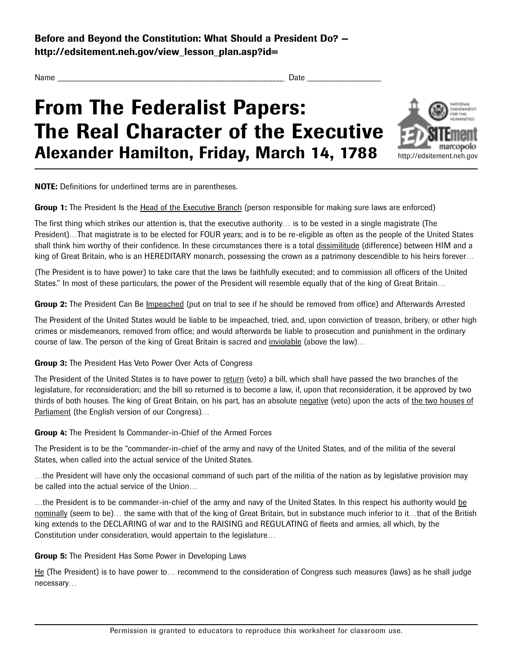**Before and Beyond the Constitution: What Should a President Do?** http://edsitement.neh.gov/view\_lesson\_plan.asp?id=

Name \_ \_ \_ \_ \_ \_ \_ \_ \_ \_ \_ \_ \_ \_ \_ \_ \_ \_ \_ \_ \_ \_ \_ \_ \_ \_ \_ \_ \_ \_ \_ \_ \_ \_ \_ \_ \_ \_ \_ \_ \_ \_ \_ \_ \_ \_ \_ \_ \_ \_ \_ \_ \_ \_ \_ \_ \_ \_ \_ \_ \_ \_ \_ \_ \_ \_ \_ \_ \_ \_ \_ Date \_ \_ \_ \_ \_ \_ \_ \_ \_ \_ \_ \_ \_ \_ \_ \_ \_ \_ \_ \_ \_ \_ \_

## **From The Federalist Papers: The Real Character of the Executive Alexander Hamilton, Friday, March 14, 1788**



**NOTE:** Definitions for underlined terms are in parentheses.

**Group 1:** The President Is the Head of the Executive Branch (person responsible for making sure laws are enforced)

The first thing which strikes our attention is, that the executive authority... is to be vested in a single magistrate (The President)...That magistrate is to be elected for FOUR years; and is to be re-eligible as often as the people of the United States shall think him worthy of their confidence. In these circumstances there is a total dissimilitude (difference) between HIM and a king of Great Britain, who is an HEREDITARY monarch, possessing the crown as a patrimony descendible to his heirs forever...

(The President is to have power) to take care that the laws be faithfully executed; and to commission all officers of the United States." In most of these particulars, the power of the President will resemble equally that of the king of Great Britain...

Group 2: The President Can Be *Impeached* (put on trial to see if he should be removed from office) and Afterwards Arrested

The President of the United States would be liable to be impeached, tried, and, upon conviction of treason, bribery, or other high crimes or misdemeanors, removed from office; and would afterwards be liable to prosecution and punishment in the ordinary course of law. The person of the king of Great Britain is sacred and inviolable (above the law)...

**Group 3:** The President Has Veto Power Over Acts of Congress

The President of the United States is to have power to return (veto) a bill, which shall have passed the two branches of the legislature, for reconsideration; and the bill so returned is to become a law, if, upon that reconsideration, it be approved by two thirds of both houses. The king of Great Britain, on his part, has an absolute negative (veto) upon the acts of the two houses of Parliament (the English version of our Congress)...

**Group 4:** The President Is Commander-in-Chief of the Armed Forces

The President is to be the "commander-in-chief of the army and navy of the United States, and of the militia of the several States, when called into the actual service of the United States

…the President will have only the occasional command of such part of the militia of the nation as by legislative provision may be called into the actual service of the Union…

...the President is to be commander-in-chief of the army and navy of the United States. In this respect his authority would be nominally (seem to be)... the same with that of the king of Great Britain, but in substance much inferior to it…that of the British king extends to the DECLARING of war and to the RAISING and REGULATING of fleets and armies, all which, by the Constitution under consideration, would appertain to the legislature…

### **Group 5:** The President Has Some Power in Developing Laws

He (The President) is to have power to... recommend to the consideration of Congress such measures (laws) as he shall judge necessary...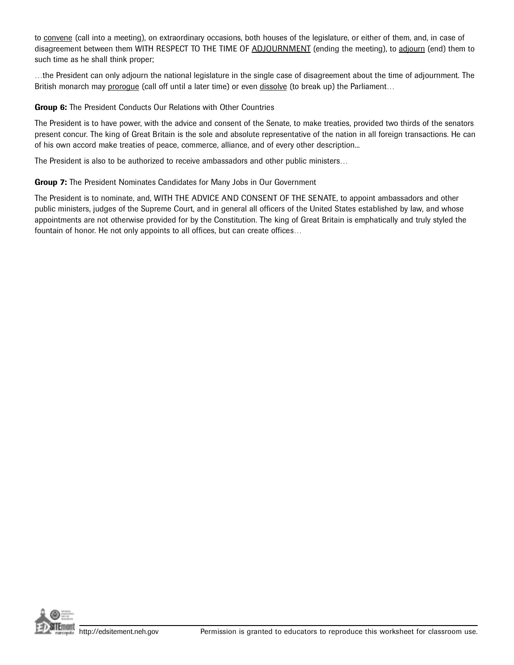to convene (call into a meeting), on extraordinary occasions, both houses of the legislature, or either of them, and, in case of disagreement between them WITH RESPECT TO THE TIME OF ADJOURNMENT (ending the meeting), to adjourn (end) them to such time as he shall think proper;

...the President can only adjourn the national legislature in the single case of disagreement about the time of adjournment. The British monarch may prorogue (call off until a later time) or even dissolve (to break up) the Parliament...

#### **Group 6:** The President Conducts Our Relations with Other Countries

The President is to have power, with the advice and consent of the Senate, to make treaties, provided two thirds of the senators present concur. The king of Great Britain is the sole and absolute representative of the nation in all foreign transactions. He can of his own accord make treaties of peace, commerce, alliance, and of every other description...

The President is also to be authorized to receive ambassadors and other public ministers...

#### **Group 7:** The President Nominates Candidates for Many Jobs in Our Government

The President is to nominate, and, WITH THE ADVICE AND CONSENT OF THE SENATE, to appoint ambassadors and other public ministers, judges of the Supreme Court, and in general all officers of the United States established by law, and whose appointments are not otherwise provided for by the Constitution. The king of Great Britain is emphatically and truly styled the fountain of honor. He not only appoints to all offices, but can create offices...